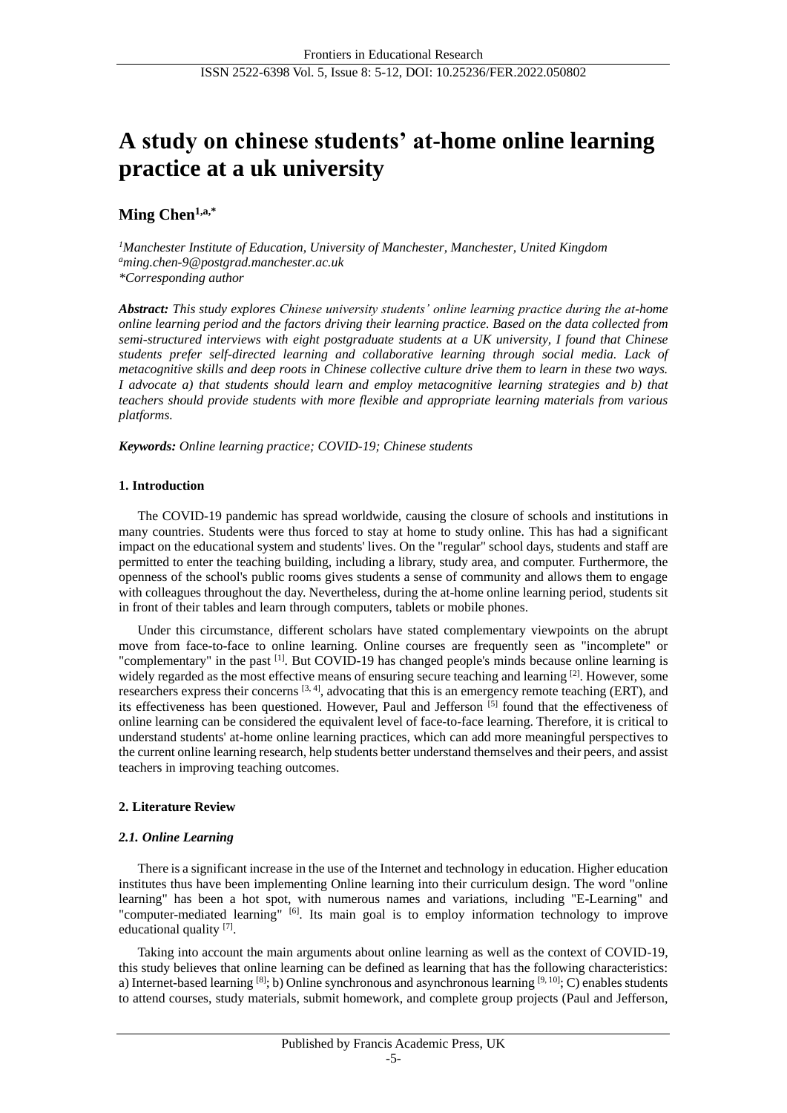# **A study on chinese students' at-home online learning practice at a uk university**

# **Ming Chen1,a,\***

*<sup>1</sup>Manchester Institute of Education, University of Manchester, Manchester, United Kingdom <sup>a</sup>ming.chen-9@postgrad.manchester.ac.uk \*Corresponding author*

*Abstract: This study explores Chinese university students' online learning practice during the at-home online learning period and the factors driving their learning practice. Based on the data collected from semi-structured interviews with eight postgraduate students at a UK university, I found that Chinese students prefer self-directed learning and collaborative learning through social media. Lack of metacognitive skills and deep roots in Chinese collective culture drive them to learn in these two ways. I advocate a) that students should learn and employ metacognitive learning strategies and b) that teachers should provide students with more flexible and appropriate learning materials from various platforms.*

*Keywords: Online learning practice; COVID-19; Chinese students*

# **1. Introduction**

The COVID-19 pandemic has spread worldwide, causing the closure of schools and institutions in many countries. Students were thus forced to stay at home to study online. This has had a significant impact on the educational system and students' lives. On the "regular" school days, students and staff are permitted to enter the teaching building, including a library, study area, and computer. Furthermore, the openness of the school's public rooms gives students a sense of community and allows them to engage with colleagues throughout the day. Nevertheless, during the at-home online learning period, students sit in front of their tables and learn through computers, tablets or mobile phones.

Under this circumstance, different scholars have stated complementary viewpoints on the abrupt move from face-to-face to online learning. Online courses are frequently seen as "incomplete" or "complementary" in the past [1]. But COVID-19 has changed people's minds because online learning is widely regarded as the most effective means of ensuring secure teaching and learning  $[2]$ . However, some researchers express their concerns  $[3, 4]$ , advocating that this is an emergency remote teaching (ERT), and its effectiveness has been questioned. However, Paul and Jefferson [5] found that the effectiveness of online learning can be considered the equivalent level of face-to-face learning. Therefore, it is critical to understand students' at-home online learning practices, which can add more meaningful perspectives to the current online learning research, help students better understand themselves and their peers, and assist teachers in improving teaching outcomes.

# **2. Literature Review**

# *2.1. Online Learning*

There is a significant increase in the use of the Internet and technology in education. Higher education institutes thus have been implementing Online learning into their curriculum design. The word "online learning" has been a hot spot, with numerous names and variations, including "E-Learning" and "computer-mediated learning" [6]. Its main goal is to employ information technology to improve educational quality [7].

Taking into account the main arguments about online learning as well as the context of COVID-19, this study believes that online learning can be defined as learning that has the following characteristics: a) Internet-based learning [8]; b) Online synchronous and asynchronous learning [9, 10]; C) enables students to attend courses, study materials, submit homework, and complete group projects (Paul and Jefferson,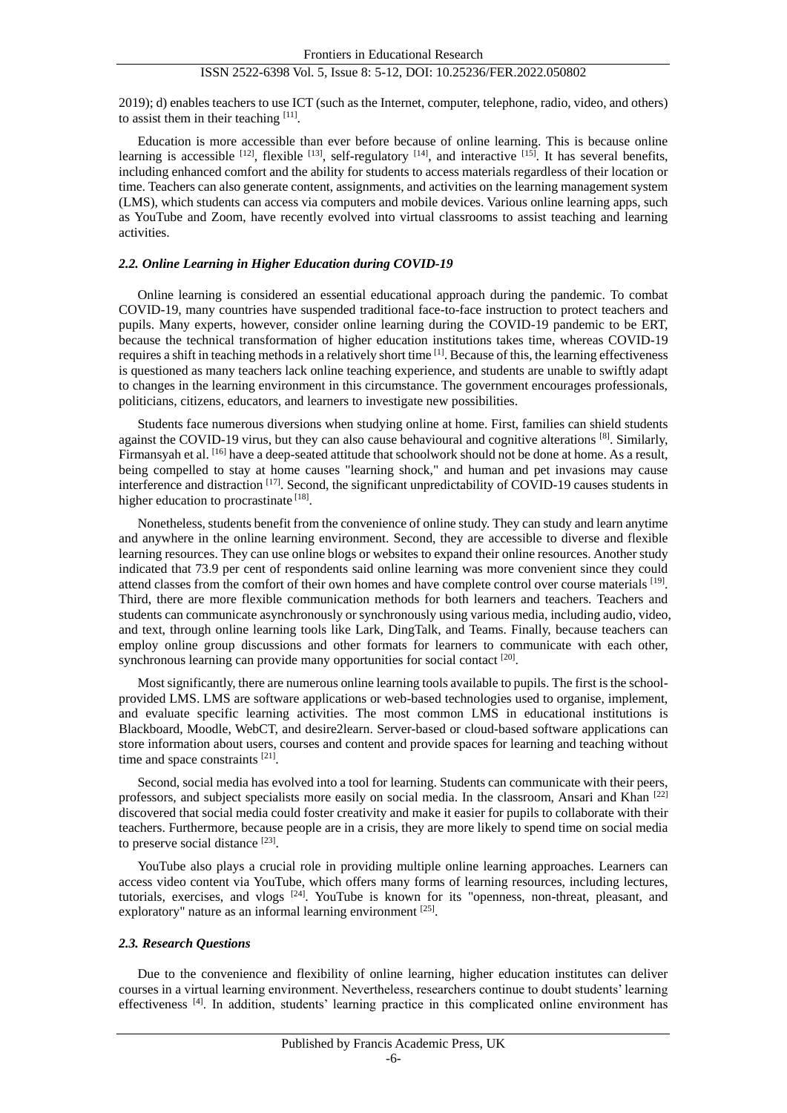2019); d) enables teachers to use ICT (such as the Internet, computer, telephone, radio, video, and others) to assist them in their teaching [11].

Education is more accessible than ever before because of online learning. This is because online learning is accessible  $^{[12]}$ , flexible  $^{[13]}$ , self-regulatory  $^{[14]}$ , and interactive  $^{[15]}$ . It has several benefits, including enhanced comfort and the ability for students to access materials regardless of their location or time. Teachers can also generate content, assignments, and activities on the learning management system (LMS), which students can access via computers and mobile devices. Various online learning apps, such as YouTube and Zoom, have recently evolved into virtual classrooms to assist teaching and learning activities.

#### *2.2. Online Learning in Higher Education during COVID-19*

Online learning is considered an essential educational approach during the pandemic. To combat COVID-19, many countries have suspended traditional face-to-face instruction to protect teachers and pupils. Many experts, however, consider online learning during the COVID-19 pandemic to be ERT, because the technical transformation of higher education institutions takes time, whereas COVID-19 requires a shift in teaching methods in a relatively short time [1]. Because of this, the learning effectiveness is questioned as many teachers lack online teaching experience, and students are unable to swiftly adapt to changes in the learning environment in this circumstance. The government encourages professionals, politicians, citizens, educators, and learners to investigate new possibilities.

Students face numerous diversions when studying online at home. First, families can shield students against the COVID-19 virus, but they can also cause behavioural and cognitive alterations [8]. Similarly, Firmansyah et al. [16] have a deep-seated attitude that schoolwork should not be done at home. As a result, being compelled to stay at home causes "learning shock," and human and pet invasions may cause interference and distraction [17]. Second, the significant unpredictability of COVID-19 causes students in higher education to procrastinate [18].

Nonetheless, students benefit from the convenience of online study. They can study and learn anytime and anywhere in the online learning environment. Second, they are accessible to diverse and flexible learning resources. They can use online blogs or websites to expand their online resources. Another study indicated that 73.9 per cent of respondents said online learning was more convenient since they could attend classes from the comfort of their own homes and have complete control over course materials  $[19]$ . Third, there are more flexible communication methods for both learners and teachers. Teachers and students can communicate asynchronously or synchronously using various media, including audio, video, and text, through online learning tools like Lark, DingTalk, and Teams. Finally, because teachers can employ online group discussions and other formats for learners to communicate with each other, synchronous learning can provide many opportunities for social contact [20].

Most significantly, there are numerous online learning tools available to pupils. The first is the schoolprovided LMS. LMS are software applications or web-based technologies used to organise, implement, and evaluate specific learning activities. The most common LMS in educational institutions is Blackboard, Moodle, WebCT, and desire2learn. Server-based or cloud-based software applications can store information about users, courses and content and provide spaces for learning and teaching without time and space constraints [21].

Second, social media has evolved into a tool for learning. Students can communicate with their peers, professors, and subject specialists more easily on social media. In the classroom, Ansari and Khan  $^{[22]}$ discovered that social media could foster creativity and make it easier for pupils to collaborate with their teachers. Furthermore, because people are in a crisis, they are more likely to spend time on social media to preserve social distance [23].

YouTube also plays a crucial role in providing multiple online learning approaches. Learners can access video content via YouTube, which offers many forms of learning resources, including lectures, tutorials, exercises, and vlogs <sup>[24]</sup>. YouTube is known for its "openness, non-threat, pleasant, and exploratory" nature as an informal learning environment [25].

#### *2.3. Research Questions*

Due to the convenience and flexibility of online learning, higher education institutes can deliver courses in a virtual learning environment. Nevertheless, researchers continue to doubt students' learning effectiveness [4]. In addition, students' learning practice in this complicated online environment has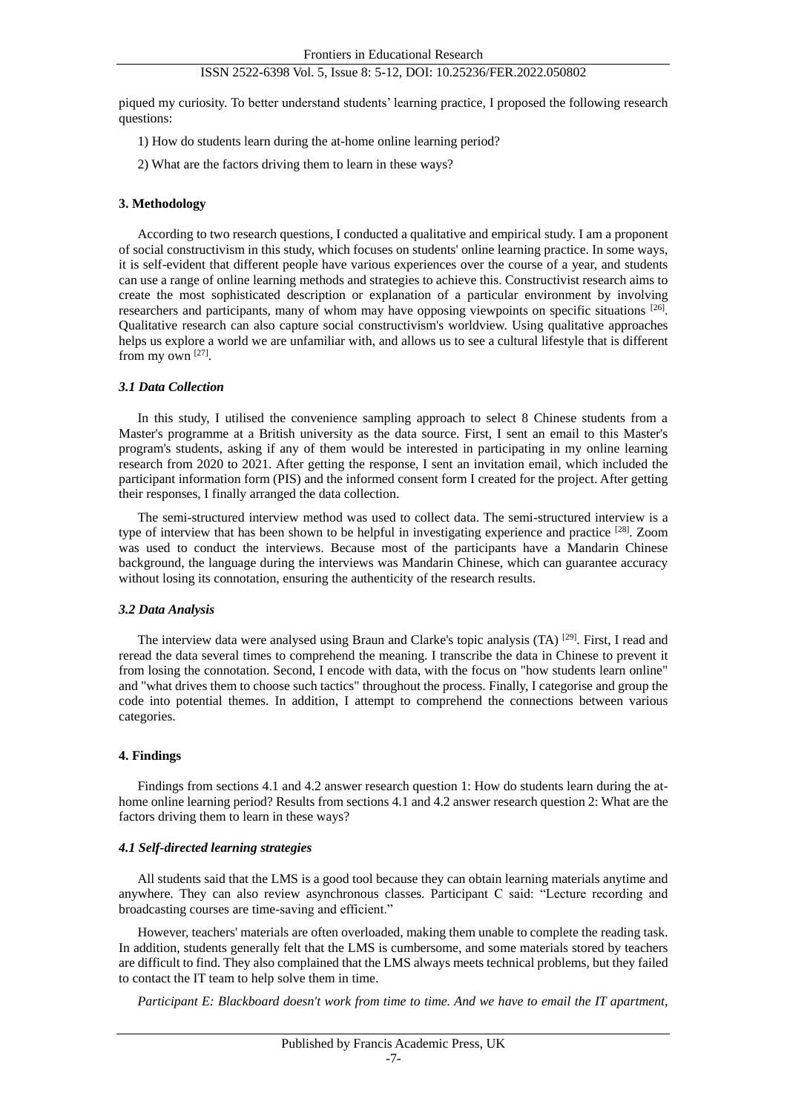piqued my curiosity. To better understand students' learning practice, I proposed the following research questions:

- 1) How do students learn during the at-home online learning period?
- 2) What are the factors driving them to learn in these ways?

# **3. Methodology**

According to two research questions, I conducted a qualitative and empirical study. I am a proponent of social constructivism in this study, which focuses on students' online learning practice. In some ways, it is self-evident that different people have various experiences over the course of a year, and students can use a range of online learning methods and strategies to achieve this. Constructivist research aims to create the most sophisticated description or explanation of a particular environment by involving researchers and participants, many of whom may have opposing viewpoints on specific situations  $[26]$ . Qualitative research can also capture social constructivism's worldview. Using qualitative approaches helps us explore a world we are unfamiliar with, and allows us to see a cultural lifestyle that is different from my own [27].

#### *3.1 Data Collection*

In this study, I utilised the convenience sampling approach to select 8 Chinese students from a Master's programme at a British university as the data source. First, I sent an email to this Master's program's students, asking if any of them would be interested in participating in my online learning research from 2020 to 2021. After getting the response, I sent an invitation email, which included the participant information form (PIS) and the informed consent form I created for the project. After getting their responses, I finally arranged the data collection.

The semi-structured interview method was used to collect data. The semi-structured interview is a type of interview that has been shown to be helpful in investigating experience and practice <sup>[28]</sup>. Zoom was used to conduct the interviews. Because most of the participants have a Mandarin Chinese background, the language during the interviews was Mandarin Chinese, which can guarantee accuracy without losing its connotation, ensuring the authenticity of the research results.

#### *3.2 Data Analysis*

The interview data were analysed using Braun and Clarke's topic analysis (TA) [29]. First, I read and reread the data several times to comprehend the meaning. I transcribe the data in Chinese to prevent it from losing the connotation. Second, I encode with data, with the focus on "how students learn online" and "what drives them to choose such tactics" throughout the process. Finally, I categorise and group the code into potential themes. In addition, I attempt to comprehend the connections between various categories.

# **4. Findings**

Findings from sections 4.1 and 4.2 answer research question 1: How do students learn during the athome online learning period? Results from sections 4.1 and 4.2 answer research question 2: What are the factors driving them to learn in these ways?

#### *4.1 Self-directed learning strategies*

All students said that the LMS is a good tool because they can obtain learning materials anytime and anywhere. They can also review asynchronous classes. Participant C said: "Lecture recording and broadcasting courses are time-saving and efficient."

However, teachers' materials are often overloaded, making them unable to complete the reading task. In addition, students generally felt that the LMS is cumbersome, and some materials stored by teachers are difficult to find. They also complained that the LMS always meets technical problems, but they failed to contact the IT team to help solve them in time.

*Participant E: Blackboard doesn't work from time to time. And we have to email the IT apartment,*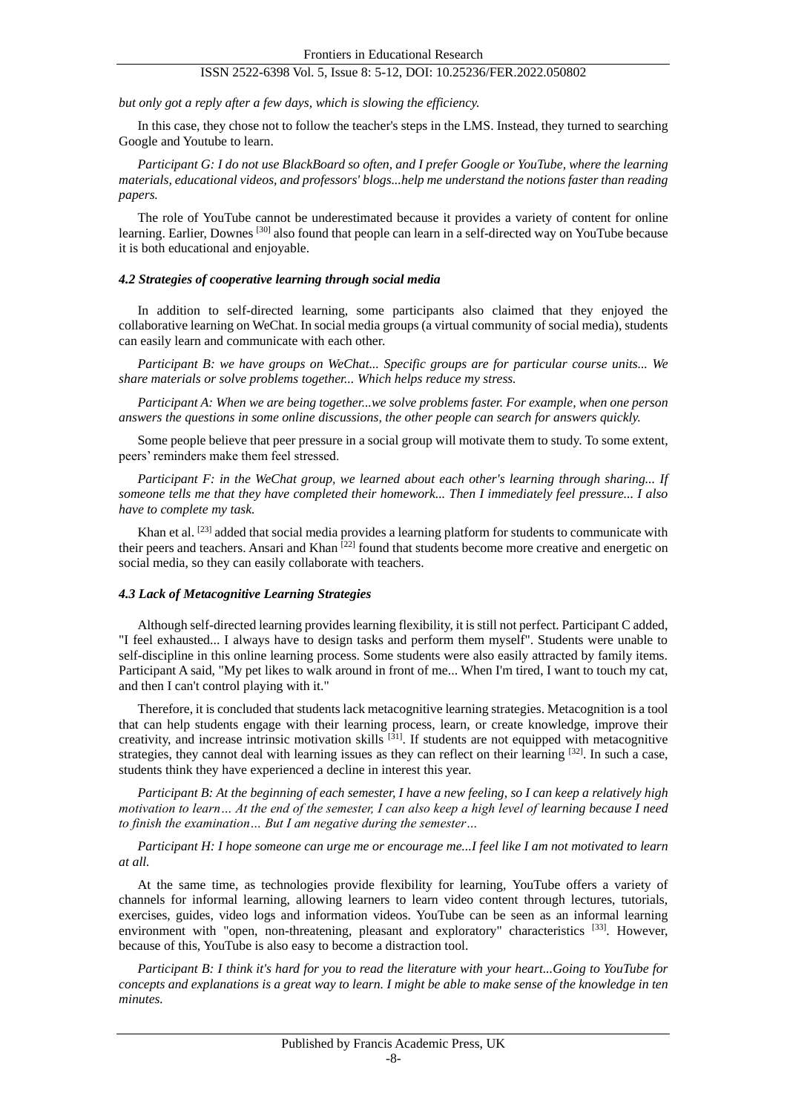*but only got a reply after a few days, which is slowing the efficiency.*

In this case, they chose not to follow the teacher's steps in the LMS. Instead, they turned to searching Google and Youtube to learn.

*Participant G: I do not use BlackBoard so often, and I prefer Google or YouTube, where the learning materials, educational videos, and professors' blogs...help me understand the notions faster than reading papers.*

The role of YouTube cannot be underestimated because it provides a variety of content for online learning. Earlier, Downes <sup>[30]</sup> also found that people can learn in a self-directed way on YouTube because it is both educational and enjoyable.

#### *4.2 Strategies of cooperative learning through social media*

In addition to self-directed learning, some participants also claimed that they enjoyed the collaborative learning on WeChat. In social media groups (a virtual community of social media), students can easily learn and communicate with each other.

*Participant B: we have groups on WeChat... Specific groups are for particular course units... We share materials or solve problems together... Which helps reduce my stress.*

*Participant A: When we are being together...we solve problems faster. For example, when one person answers the questions in some online discussions, the other people can search for answers quickly.*

Some people believe that peer pressure in a social group will motivate them to study. To some extent, peers' reminders make them feel stressed.

*Participant F: in the WeChat group, we learned about each other's learning through sharing... If someone tells me that they have completed their homework... Then I immediately feel pressure... I also have to complete my task.*

Khan et al.  $[23]$  added that social media provides a learning platform for students to communicate with their peers and teachers. Ansari and Khan <sup>[22]</sup> found that students become more creative and energetic on social media, so they can easily collaborate with teachers.

#### *4.3 Lack of Metacognitive Learning Strategies*

Although self-directed learning provides learning flexibility, it is still not perfect. Participant C added, "I feel exhausted... I always have to design tasks and perform them myself". Students were unable to self-discipline in this online learning process. Some students were also easily attracted by family items. Participant A said, "My pet likes to walk around in front of me... When I'm tired, I want to touch my cat, and then I can't control playing with it."

Therefore, it is concluded that students lack metacognitive learning strategies. Metacognition is a tool that can help students engage with their learning process, learn, or create knowledge, improve their creativity, and increase intrinsic motivation skills [31]. If students are not equipped with metacognitive strategies, they cannot deal with learning issues as they can reflect on their learning  $[32]$ . In such a case, students think they have experienced a decline in interest this year.

*Participant B: At the beginning of each semester, I have a new feeling, so I can keep a relatively high motivation to learn… At the end of the semester, I can also keep a high level of learning because I need to finish the examination… But I am negative during the semester…*

*Participant H: I hope someone can urge me or encourage me...I feel like I am not motivated to learn at all.*

At the same time, as technologies provide flexibility for learning, YouTube offers a variety of channels for informal learning, allowing learners to learn video content through lectures, tutorials, exercises, guides, video logs and information videos. YouTube can be seen as an informal learning environment with "open, non-threatening, pleasant and exploratory" characteristics <sup>[33]</sup>. However, because of this, YouTube is also easy to become a distraction tool.

*Participant B: I think it's hard for you to read the literature with your heart...Going to YouTube for concepts and explanations is a great way to learn. I might be able to make sense of the knowledge in ten minutes.*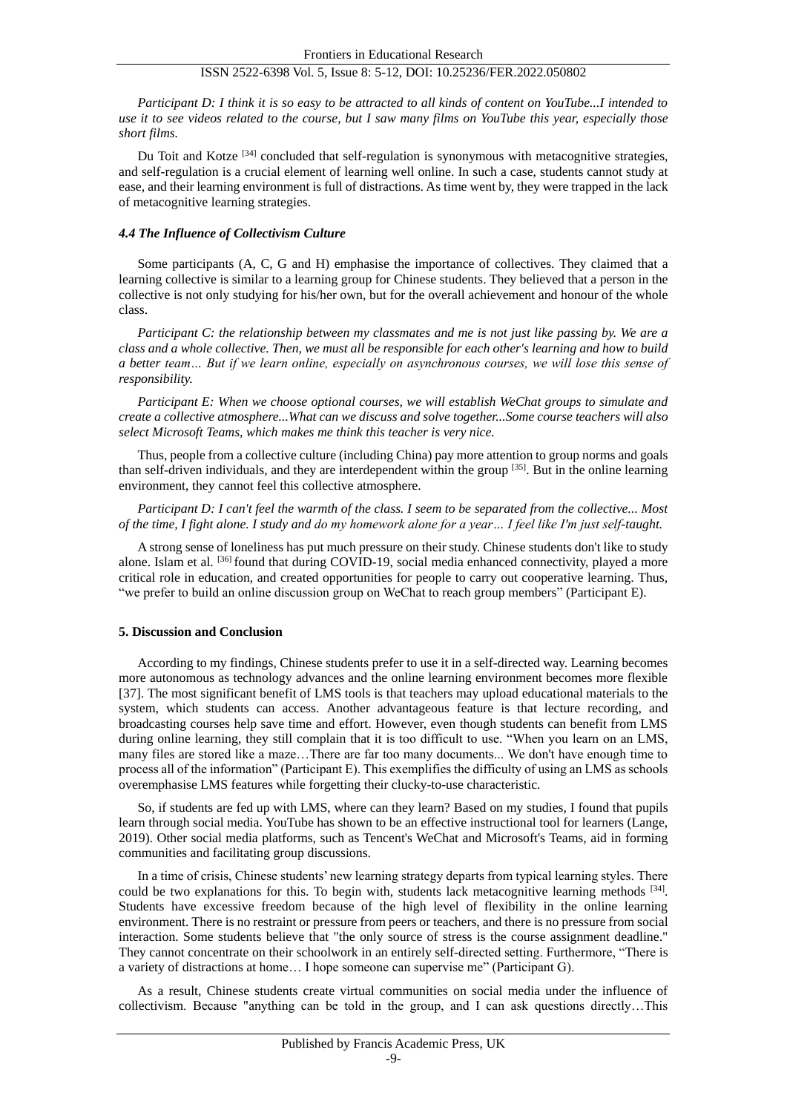*Participant D: I think it is so easy to be attracted to all kinds of content on YouTube...I intended to use it to see videos related to the course, but I saw many films on YouTube this year, especially those short films.*

Du Toit and Kotze  $^{[34]}$  concluded that self-regulation is synonymous with metacognitive strategies, and self-regulation is a crucial element of learning well online. In such a case, students cannot study at ease, and their learning environment is full of distractions. As time went by, they were trapped in the lack of metacognitive learning strategies.

#### *4.4 The Influence of Collectivism Culture*

Some participants (A, C, G and H) emphasise the importance of collectives. They claimed that a learning collective is similar to a learning group for Chinese students. They believed that a person in the collective is not only studying for his/her own, but for the overall achievement and honour of the whole class.

*Participant C: the relationship between my classmates and me is not just like passing by. We are a class and a whole collective. Then, we must all be responsible for each other's learning and how to build a better team… But if we learn online, especially on asynchronous courses, we will lose this sense of responsibility.*

*Participant E: When we choose optional courses, we will establish WeChat groups to simulate and create a collective atmosphere...What can we discuss and solve together...Some course teachers will also select Microsoft Teams, which makes me think this teacher is very nice.*

Thus, people from a collective culture (including China) pay more attention to group norms and goals than self-driven individuals, and they are interdependent within the group  $[35]$ . But in the online learning environment, they cannot feel this collective atmosphere.

*Participant D: I can't feel the warmth of the class. I seem to be separated from the collective... Most of the time, I fight alone. I study and do my homework alone for a year… I feel like I'm just self-taught.*

A strong sense of loneliness has put much pressure on their study. Chinese students don't like to study alone. Islam et al. [36] found that during COVID-19, social media enhanced connectivity, played a more critical role in education, and created opportunities for people to carry out cooperative learning. Thus, "we prefer to build an online discussion group on WeChat to reach group members" (Participant E).

# **5. Discussion and Conclusion**

According to my findings, Chinese students prefer to use it in a self-directed way. Learning becomes more autonomous as technology advances and the online learning environment becomes more flexible [37]. The most significant benefit of LMS tools is that teachers may upload educational materials to the system, which students can access. Another advantageous feature is that lecture recording, and broadcasting courses help save time and effort. However, even though students can benefit from LMS during online learning, they still complain that it is too difficult to use. "When you learn on an LMS, many files are stored like a maze…There are far too many documents... We don't have enough time to process all of the information" (Participant E). This exemplifies the difficulty of using an LMS as schools overemphasise LMS features while forgetting their clucky-to-use characteristic.

So, if students are fed up with LMS, where can they learn? Based on my studies, I found that pupils learn through social media. YouTube has shown to be an effective instructional tool for learners (Lange, 2019). Other social media platforms, such as Tencent's WeChat and Microsoft's Teams, aid in forming communities and facilitating group discussions.

In a time of crisis, Chinese students' new learning strategy departs from typical learning styles. There could be two explanations for this. To begin with, students lack metacognitive learning methods [34]. Students have excessive freedom because of the high level of flexibility in the online learning environment. There is no restraint or pressure from peers or teachers, and there is no pressure from social interaction. Some students believe that "the only source of stress is the course assignment deadline." They cannot concentrate on their schoolwork in an entirely self-directed setting. Furthermore, "There is a variety of distractions at home… I hope someone can supervise me" (Participant G).

As a result, Chinese students create virtual communities on social media under the influence of collectivism. Because "anything can be told in the group, and I can ask questions directly…This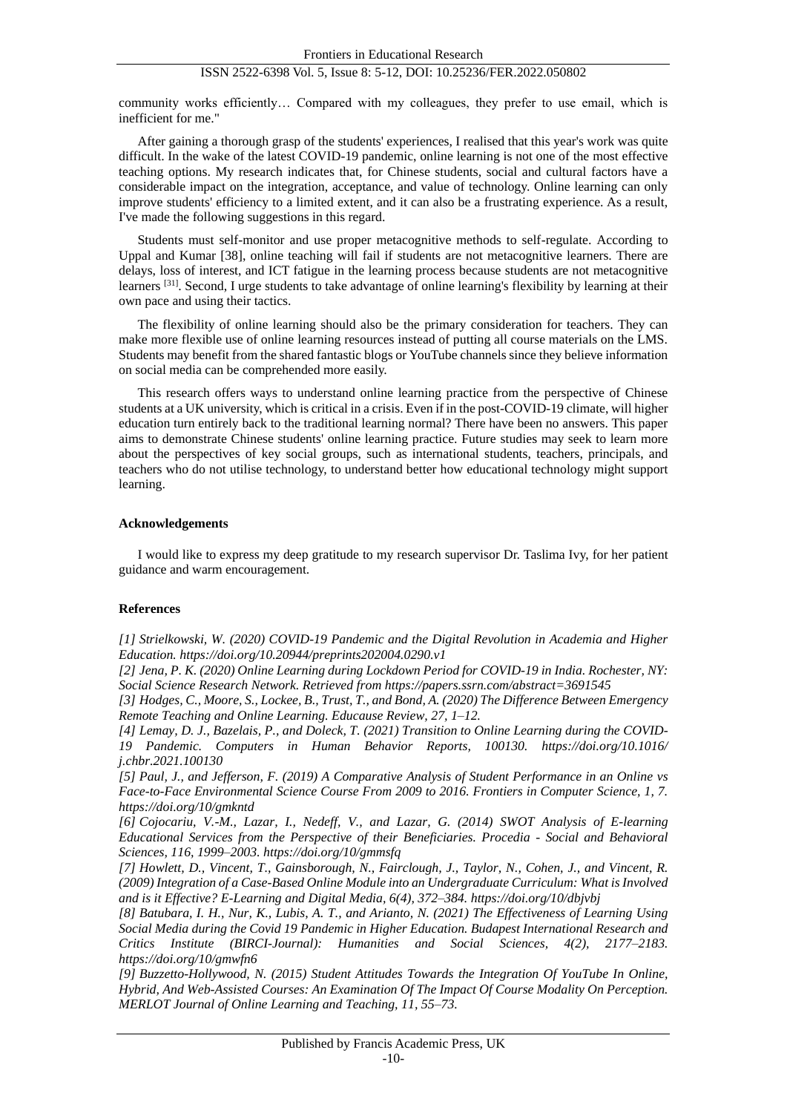community works efficiently… Compared with my colleagues, they prefer to use email, which is inefficient for me."

After gaining a thorough grasp of the students' experiences, I realised that this year's work was quite difficult. In the wake of the latest COVID-19 pandemic, online learning is not one of the most effective teaching options. My research indicates that, for Chinese students, social and cultural factors have a considerable impact on the integration, acceptance, and value of technology. Online learning can only improve students' efficiency to a limited extent, and it can also be a frustrating experience. As a result, I've made the following suggestions in this regard.

Students must self-monitor and use proper metacognitive methods to self-regulate. According to Uppal and Kumar [38], online teaching will fail if students are not metacognitive learners. There are delays, loss of interest, and ICT fatigue in the learning process because students are not metacognitive learners [31]. Second, I urge students to take advantage of online learning's flexibility by learning at their own pace and using their tactics.

The flexibility of online learning should also be the primary consideration for teachers. They can make more flexible use of online learning resources instead of putting all course materials on the LMS. Students may benefit from the shared fantastic blogs or YouTube channels since they believe information on social media can be comprehended more easily.

This research offers ways to understand online learning practice from the perspective of Chinese students at a UK university, which is critical in a crisis. Even if in the post-COVID-19 climate, will higher education turn entirely back to the traditional learning normal? There have been no answers. This paper aims to demonstrate Chinese students' online learning practice. Future studies may seek to learn more about the perspectives of key social groups, such as international students, teachers, principals, and teachers who do not utilise technology, to understand better how educational technology might support learning.

#### **Acknowledgements**

I would like to express my deep gratitude to my research supervisor Dr. Taslima Ivy, for her patient guidance and warm encouragement.

#### **References**

*[1] Strielkowski, W. (2020) COVID-19 Pandemic and the Digital Revolution in Academia and Higher Education. https://doi.org/10.20944/preprints202004.0290.v1*

*[2] Jena, P. K. (2020) Online Learning during Lockdown Period for COVID-19 in India. Rochester, NY: Social Science Research Network. Retrieved from https://papers.ssrn.com/abstract=3691545*

*[3] Hodges, C., Moore, S., Lockee, B., Trust, T., and Bond, A. (2020) The Difference Between Emergency Remote Teaching and Online Learning. Educause Review, 27, 1–12.*

*[4] Lemay, D. J., Bazelais, P., and Doleck, T. (2021) Transition to Online Learning during the COVID-19 Pandemic. Computers in Human Behavior Reports, 100130. https://doi.org/10.1016/ j.chbr.2021.100130*

*[5] Paul, J., and Jefferson, F. (2019) A Comparative Analysis of Student Performance in an Online vs Face-to-Face Environmental Science Course From 2009 to 2016. Frontiers in Computer Science, 1, 7. https://doi.org/10/gmkntd*

*[6] Cojocariu, V.-M., Lazar, I., Nedeff, V., and Lazar, G. (2014) SWOT Analysis of E-learning Educational Services from the Perspective of their Beneficiaries. Procedia - Social and Behavioral Sciences, 116, 1999–2003. https://doi.org/10/gmmsfq*

*[7] Howlett, D., Vincent, T., Gainsborough, N., Fairclough, J., Taylor, N., Cohen, J., and Vincent, R. (2009) Integration of a Case-Based Online Module into an Undergraduate Curriculum: What is Involved and is it Effective? E-Learning and Digital Media, 6(4), 372–384. https://doi.org/10/dbjvbj*

*[8] Batubara, I. H., Nur, K., Lubis, A. T., and Arianto, N. (2021) The Effectiveness of Learning Using Social Media during the Covid 19 Pandemic in Higher Education. Budapest International Research and Critics Institute (BIRCI-Journal): Humanities and Social Sciences, 4(2), 2177–2183. https://doi.org/10/gmwfn6*

*[9] Buzzetto-Hollywood, N. (2015) Student Attitudes Towards the Integration Of YouTube In Online, Hybrid, And Web-Assisted Courses: An Examination Of The Impact Of Course Modality On Perception. MERLOT Journal of Online Learning and Teaching, 11, 55–73.*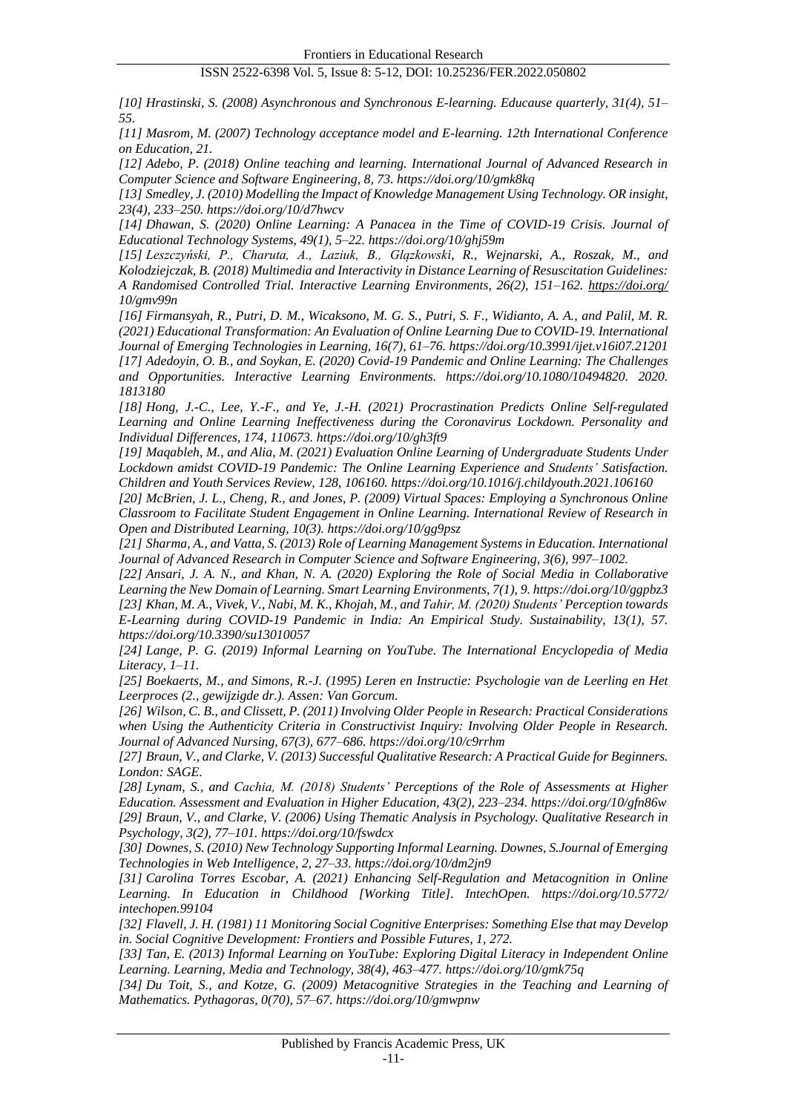*[10] Hrastinski, S. (2008) Asynchronous and Synchronous E-learning. Educause quarterly, 31(4), 51– 55.*

*[11] Masrom, M. (2007) Technology acceptance model and E-learning. 12th International Conference on Education, 21.*

*[12] Adebo, P. (2018) Online teaching and learning. International Journal of Advanced Research in Computer Science and Software Engineering, 8, 73. https://doi.org/10/gmk8kq*

*[13] Smedley, J. (2010) Modelling the Impact of Knowledge Management Using Technology. OR insight, 23(4), 233–250. https://doi.org/10/d7hwcv*

*[14] Dhawan, S. (2020) Online Learning: A Panacea in the Time of COVID-19 Crisis. Journal of Educational Technology Systems, 49(1), 5–22. https://doi.org/10/ghj59m*

*[15] Leszczyński, P., Charuta, A., Laziuk, B., Glązkowski, R., Wejnarski, A., Roszak, M., and Kolodziejczak, B. (2018) Multimedia and Interactivity in Distance Learning of Resuscitation Guidelines: A Randomised Controlled Trial. Interactive Learning Environments, 26(2), 151–162. https://doi.org/ 10/gmv99n*

*[16] Firmansyah, R., Putri, D. M., Wicaksono, M. G. S., Putri, S. F., Widianto, A. A., and Palil, M. R. (2021) Educational Transformation: An Evaluation of Online Learning Due to COVID-19. International Journal of Emerging Technologies in Learning, 16(7), 61–76. https://doi.org/10.3991/ijet.v16i07.21201 [17] Adedoyin, O. B., and Soykan, E. (2020) Covid-19 Pandemic and Online Learning: The Challenges and Opportunities. Interactive Learning Environments. https://doi.org/10.1080/10494820. 2020. 1813180*

*[18] Hong, J.-C., Lee, Y.-F., and Ye, J.-H. (2021) Procrastination Predicts Online Self-regulated Learning and Online Learning Ineffectiveness during the Coronavirus Lockdown. Personality and Individual Differences, 174, 110673. https://doi.org/10/gh3ft9*

*[19] Maqableh, M., and Alia, M. (2021) Evaluation Online Learning of Undergraduate Students Under Lockdown amidst COVID-19 Pandemic: The Online Learning Experience and Students' Satisfaction. Children and Youth Services Review, 128, 106160. https://doi.org/10.1016/j.childyouth.2021.106160*

*[20] McBrien, J. L., Cheng, R., and Jones, P. (2009) Virtual Spaces: Employing a Synchronous Online Classroom to Facilitate Student Engagement in Online Learning. International Review of Research in Open and Distributed Learning, 10(3). https://doi.org/10/gg9psz*

*[21] Sharma, A., and Vatta, S. (2013) Role of Learning Management Systems in Education. International Journal of Advanced Research in Computer Science and Software Engineering, 3(6), 997–1002.*

*[22] Ansari, J. A. N., and Khan, N. A. (2020) Exploring the Role of Social Media in Collaborative Learning the New Domain of Learning. Smart Learning Environments, 7(1), 9. https://doi.org/10/ggpbz3 [23] Khan, M. A., Vivek, V., Nabi, M. K., Khojah, M., and Tahir, M. (2020) Students' Perception towards E-Learning during COVID-19 Pandemic in India: An Empirical Study. Sustainability, 13(1), 57. https://doi.org/10.3390/su13010057*

*[24] Lange, P. G. (2019) Informal Learning on YouTube. The International Encyclopedia of Media Literacy, 1–11.*

*[25] Boekaerts, M., and Simons, R.-J. (1995) Leren en Instructie: Psychologie van de Leerling en Het Leerproces (2., gewijzigde dr.). Assen: Van Gorcum.*

*[26] Wilson, C. B., and Clissett, P. (2011) Involving Older People in Research: Practical Considerations when Using the Authenticity Criteria in Constructivist Inquiry: Involving Older People in Research. Journal of Advanced Nursing, 67(3), 677–686. https://doi.org/10/c9rrhm*

*[27] Braun, V., and Clarke, V. (2013) Successful Qualitative Research: A Practical Guide for Beginners. London: SAGE.*

*[28] Lynam, S., and Cachia, M. (2018) Students' Perceptions of the Role of Assessments at Higher Education. Assessment and Evaluation in Higher Education, 43(2), 223–234. https://doi.org/10/gfn86w [29] Braun, V., and Clarke, V. (2006) Using Thematic Analysis in Psychology. Qualitative Research in Psychology, 3(2), 77–101. https://doi.org/10/fswdcx*

*[30] Downes, S. (2010) New Technology Supporting Informal Learning. Downes, S.Journal of Emerging Technologies in Web Intelligence, 2, 27–33. https://doi.org/10/dm2jn9*

*[31] Carolina Torres Escobar, A. (2021) Enhancing Self-Regulation and Metacognition in Online Learning. In Education in Childhood [Working Title]. IntechOpen. https://doi.org/10.5772/ intechopen.99104*

*[32] Flavell, J. H. (1981) 11 Monitoring Social Cognitive Enterprises: Something Else that may Develop in. Social Cognitive Development: Frontiers and Possible Futures, 1, 272.*

*[33] Tan, E. (2013) Informal Learning on YouTube: Exploring Digital Literacy in Independent Online Learning. Learning, Media and Technology, 38(4), 463–477. https://doi.org/10/gmk75q*

*[34] Du Toit, S., and Kotze, G. (2009) Metacognitive Strategies in the Teaching and Learning of Mathematics. Pythagoras, 0(70), 57–67. https://doi.org/10/gmwpnw*